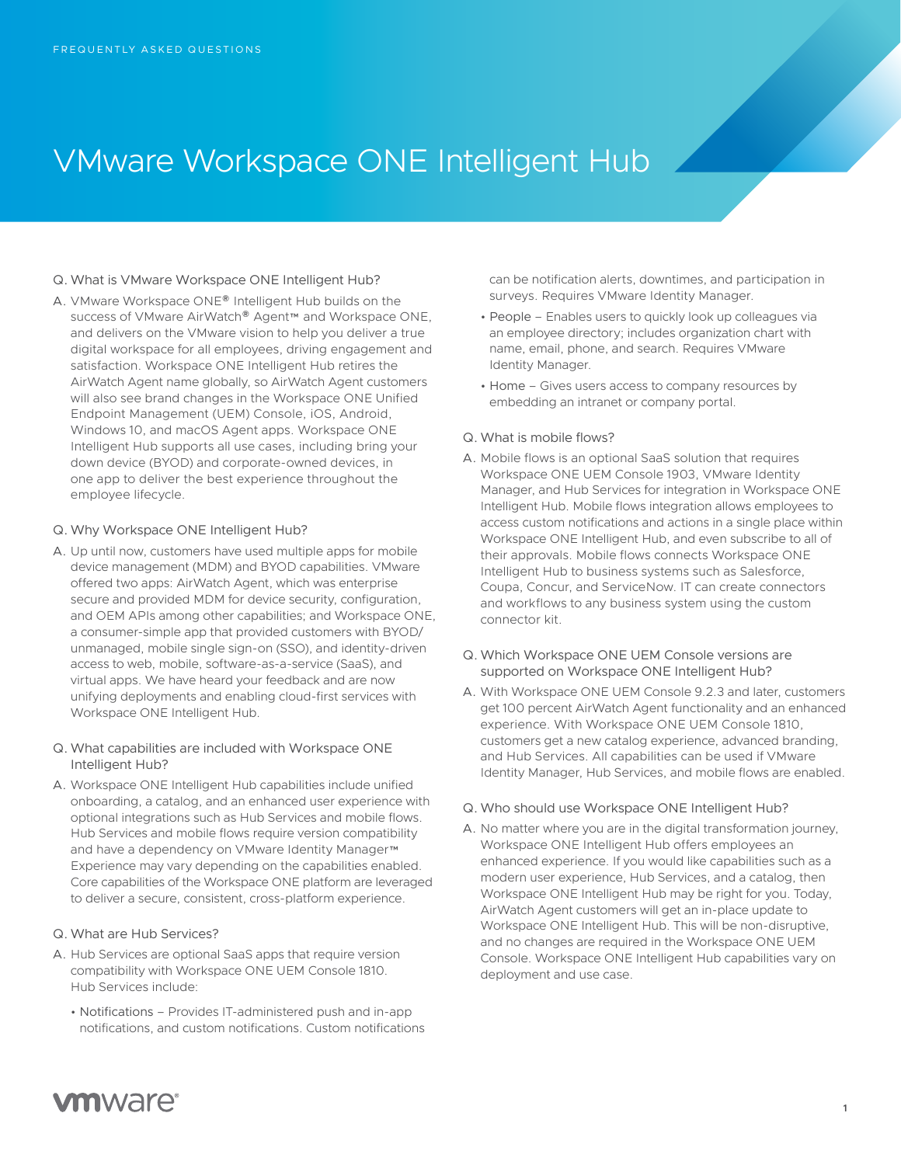# VMware Workspace ONE Intelligent Hub

#### Q. What is VMware Workspace ONE Intelligent Hub?

A. VMware Workspace ONE® Intelligent Hub builds on the success of VMware AirWatch® Agent™ and Workspace ONE, and delivers on the VMware vision to help you deliver a true digital workspace for all employees, driving engagement and satisfaction. Workspace ONE Intelligent Hub retires the AirWatch Agent name globally, so AirWatch Agent customers will also see brand changes in the Workspace ONE Unified Endpoint Management (UEM) Console, iOS, Android, Windows 10, and macOS Agent apps. Workspace ONE Intelligent Hub supports all use cases, including bring your down device (BYOD) and corporate-owned devices, in one app to deliver the best experience throughout the employee lifecycle.

#### Q. Why Workspace ONE Intelligent Hub?

A. Up until now, customers have used multiple apps for mobile device management (MDM) and BYOD capabilities. VMware offered two apps: AirWatch Agent, which was enterprise secure and provided MDM for device security, configuration, and OEM APIs among other capabilities; and Workspace ONE, a consumer-simple app that provided customers with BYOD/ unmanaged, mobile single sign-on (SSO), and identity-driven access to web, mobile, software-as-a-service (SaaS), and virtual apps. We have heard your feedback and are now unifying deployments and enabling cloud-first services with Workspace ONE Intelligent Hub.

## Q. What capabilities are included with Workspace ONE Intelligent Hub?

A. Workspace ONE Intelligent Hub capabilities include unified onboarding, a catalog, and an enhanced user experience with optional integrations such as Hub Services and mobile flows. Hub Services and mobile flows require version compatibility and have a dependency on VMware Identity Manager™ Experience may vary depending on the capabilities enabled. Core capabilities of the Workspace ONE platform are leveraged to deliver a secure, consistent, cross-platform experience.

#### Q. What are Hub Services?

- A. Hub Services are optional SaaS apps that require version compatibility with Workspace ONE UEM Console 1810. Hub Services include:
	- Notifications Provides IT-administered push and in-app notifications, and custom notifications. Custom notifications

can be notification alerts, downtimes, and participation in surveys. Requires VMware Identity Manager.

- People Enables users to quickly look up colleagues via an employee directory; includes organization chart with name, email, phone, and search. Requires VMware Identity Manager.
- Home Gives users access to company resources by embedding an intranet or company portal.

## Q. What is mobile flows?

- A. Mobile flows is an optional SaaS solution that requires Workspace ONE UEM Console 1903, VMware Identity Manager, and Hub Services for integration in Workspace ONE Intelligent Hub. Mobile flows integration allows employees to access custom notifications and actions in a single place within Workspace ONE Intelligent Hub, and even subscribe to all of their approvals. Mobile flows connects Workspace ONE Intelligent Hub to business systems such as Salesforce, Coupa, Concur, and ServiceNow. IT can create connectors and workflows to any business system using the custom connector kit.
- Q. Which Workspace ONE UEM Console versions are supported on Workspace ONE Intelligent Hub?
- A. With Workspace ONE UEM Console 9.2.3 and later, customers get 100 percent AirWatch Agent functionality and an enhanced experience. With Workspace ONE UEM Console 1810, customers get a new catalog experience, advanced branding, and Hub Services. All capabilities can be used if VMware Identity Manager, Hub Services, and mobile flows are enabled.
- Q. Who should use Workspace ONE Intelligent Hub?
- A. No matter where you are in the digital transformation journey, Workspace ONE Intelligent Hub offers employees an enhanced experience. If you would like capabilities such as a modern user experience, Hub Services, and a catalog, then Workspace ONE Intelligent Hub may be right for you. Today, AirWatch Agent customers will get an in-place update to Workspace ONE Intelligent Hub. This will be non-disruptive, and no changes are required in the Workspace ONE UEM Console. Workspace ONE Intelligent Hub capabilities vary on deployment and use case.